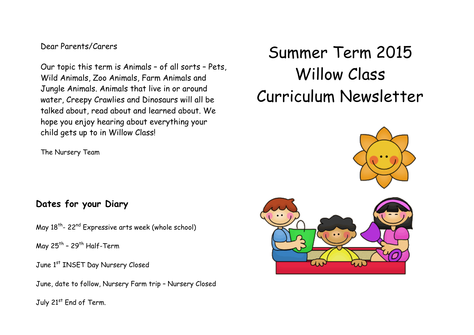### Dear Parents/Carers

Our topic this term is Animals – of all sorts – Pets, Wild Animals, Zoo Animals, Farm Animals and Jungle Animals. Animals that live in or around water, Creepy Crawlies and Dinosaurs will all be talked about, read about and learned about. We hope you enjoy hearing about everything your child gets up to in Willow Class!

The Nursery Team

## **Dates for your Diary**

May 18<sup>th</sup>- 22<sup>nd</sup> Expressive arts week (whole school)

May 25<sup>th</sup> – 29<sup>th</sup> Half-Term

June 1st INSET Day Nursery Closed

June, date to follow, Nursery Farm trip – Nursery Closed

July 21st End of Term.

# Summer Term 2015 Willow Class Curriculum Newsletter